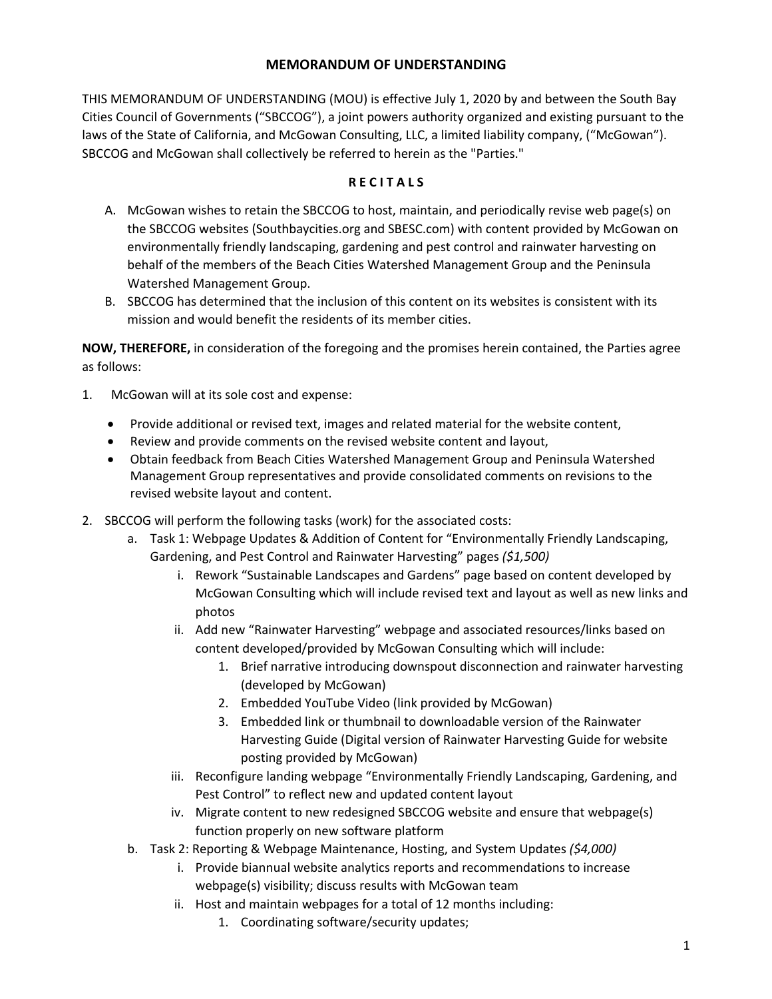## **MEMORANDUM OF UNDERSTANDING**

THIS MEMORANDUM OF UNDERSTANDING (MOU) is effective July 1, 2020 by and between the South Bay Cities Council of Governments ("SBCCOG"), a joint powers authority organized and existing pursuant to the laws of the State of California, and McGowan Consulting, LLC, a limited liability company, ("McGowan"). SBCCOG and McGowan shall collectively be referred to herein as the "Parties."

## **R E C I T A L S**

- A. McGowan wishes to retain the SBCCOG to host, maintain, and periodically revise web page(s) on the SBCCOG websites (Southbaycities.org and SBESC.com) with content provided by McGowan on environmentally friendly landscaping, gardening and pest control and rainwater harvesting on behalf of the members of the Beach Cities Watershed Management Group and the Peninsula Watershed Management Group.
- B. SBCCOG has determined that the inclusion of this content on its websites is consistent with its mission and would benefit the residents of its member cities.

**NOW, THEREFORE,** in consideration of the foregoing and the promises herein contained, the Parties agree as follows:

- 1. McGowan will at its sole cost and expense:
	- Provide additional or revised text, images and related material for the website content,
	- Review and provide comments on the revised website content and layout,
	- Obtain feedback from Beach Cities Watershed Management Group and Peninsula Watershed Management Group representatives and provide consolidated comments on revisions to the revised website layout and content.
- 2. SBCCOG will perform the following tasks (work) for the associated costs:
	- a. Task 1: Webpage Updates & Addition of Content for "Environmentally Friendly Landscaping, Gardening, and Pest Control and Rainwater Harvesting" pages *(\$1,500)*
		- i. Rework "Sustainable Landscapes and Gardens" page based on content developed by McGowan Consulting which will include revised text and layout as well as new links and photos
		- ii. Add new "Rainwater Harvesting" webpage and associated resources/links based on content developed/provided by McGowan Consulting which will include:
			- 1. Brief narrative introducing downspout disconnection and rainwater harvesting (developed by McGowan)
			- 2. Embedded YouTube Video (link provided by McGowan)
			- 3. Embedded link or thumbnail to downloadable version of the Rainwater Harvesting Guide (Digital version of Rainwater Harvesting Guide for website posting provided by McGowan)
		- iii. Reconfigure landing webpage "Environmentally Friendly Landscaping, Gardening, and Pest Control" to reflect new and updated content layout
		- iv. Migrate content to new redesigned SBCCOG website and ensure that webpage(s) function properly on new software platform
	- b. Task 2: Reporting & Webpage Maintenance, Hosting, and System Updates *(\$4,000)*
		- i. Provide biannual website analytics reports and recommendations to increase webpage(s) visibility; discuss results with McGowan team
		- ii. Host and maintain webpages for a total of 12 months including:
			- 1. Coordinating software/security updates;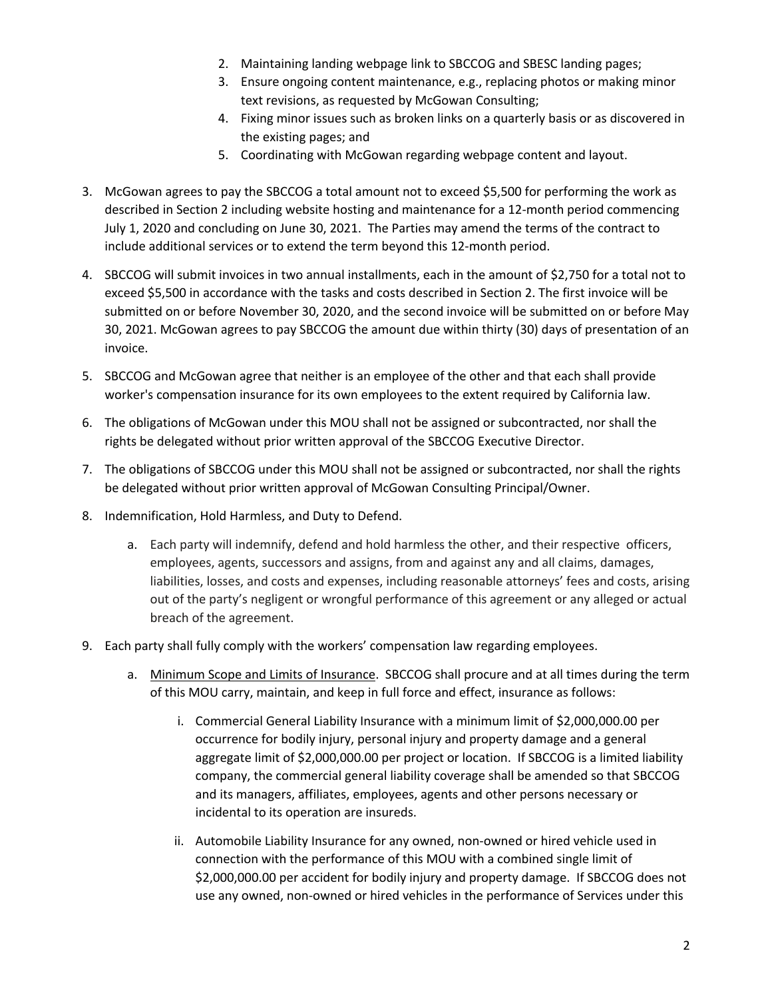- 2. Maintaining landing webpage link to SBCCOG and SBESC landing pages;
- 3. Ensure ongoing content maintenance, e.g., replacing photos or making minor text revisions, as requested by McGowan Consulting;
- 4. Fixing minor issues such as broken links on a quarterly basis or as discovered in the existing pages; and
- 5. Coordinating with McGowan regarding webpage content and layout.
- 3. McGowan agrees to pay the SBCCOG a total amount not to exceed \$5,500 for performing the work as described in Section 2 including website hosting and maintenance for a 12-month period commencing July 1, 2020 and concluding on June 30, 2021. The Parties may amend the terms of the contract to include additional services or to extend the term beyond this 12-month period.
- 4. SBCCOG will submit invoices in two annual installments, each in the amount of \$2,750 for a total not to exceed \$5,500 in accordance with the tasks and costs described in Section 2. The first invoice will be submitted on or before November 30, 2020, and the second invoice will be submitted on or before May 30, 2021. McGowan agrees to pay SBCCOG the amount due within thirty (30) days of presentation of an invoice.
- 5. SBCCOG and McGowan agree that neither is an employee of the other and that each shall provide worker's compensation insurance for its own employees to the extent required by California law.
- 6. The obligations of McGowan under this MOU shall not be assigned or subcontracted, nor shall the rights be delegated without prior written approval of the SBCCOG Executive Director.
- 7. The obligations of SBCCOG under this MOU shall not be assigned or subcontracted, nor shall the rights be delegated without prior written approval of McGowan Consulting Principal/Owner.
- 8. Indemnification, Hold Harmless, and Duty to Defend.
	- a. Each party will indemnify, defend and hold harmless the other, and their respective officers, employees, agents, successors and assigns, from and against any and all claims, damages, liabilities, losses, and costs and expenses, including reasonable attorneys' fees and costs, arising out of the party's negligent or wrongful performance of this agreement or any alleged or actual breach of the agreement.
- 9. Each party shall fully comply with the workers' compensation law regarding employees.
	- a. Minimum Scope and Limits of Insurance. SBCCOG shall procure and at all times during the term of this MOU carry, maintain, and keep in full force and effect, insurance as follows:
		- i. Commercial General Liability Insurance with a minimum limit of \$2,000,000.00 per occurrence for bodily injury, personal injury and property damage and a general aggregate limit of \$2,000,000.00 per project or location. If SBCCOG is a limited liability company, the commercial general liability coverage shall be amended so that SBCCOG and its managers, affiliates, employees, agents and other persons necessary or incidental to its operation are insureds.
		- ii. Automobile Liability Insurance for any owned, non-owned or hired vehicle used in connection with the performance of this MOU with a combined single limit of \$2,000,000.00 per accident for bodily injury and property damage. If SBCCOG does not use any owned, non-owned or hired vehicles in the performance of Services under this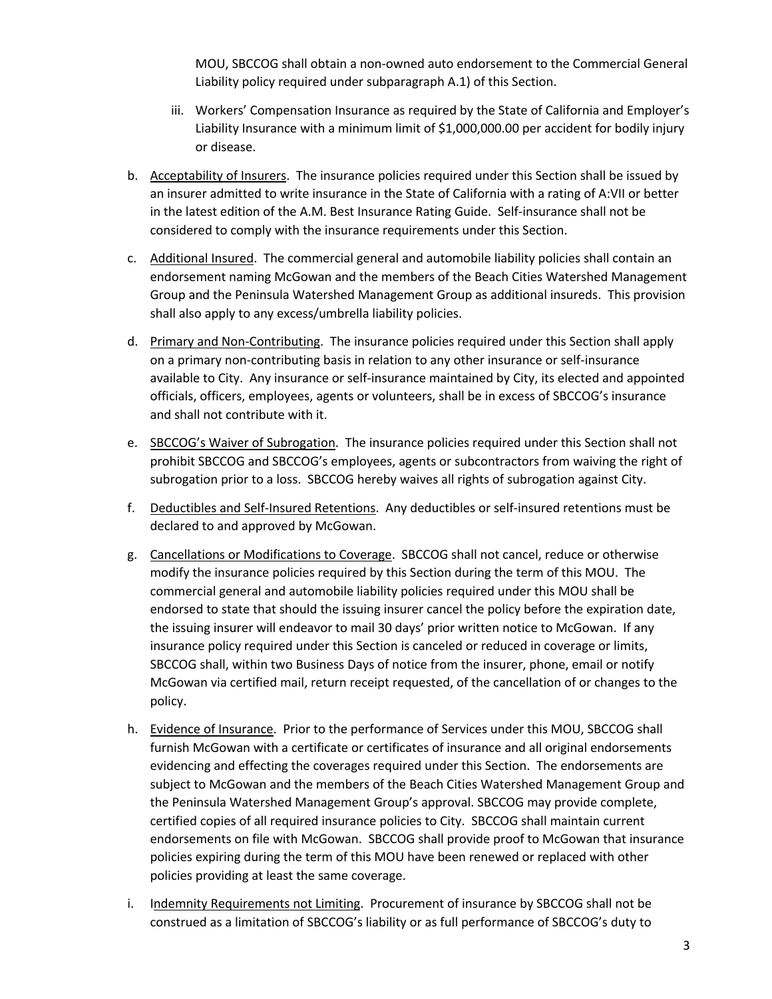MOU, SBCCOG shall obtain a non-owned auto endorsement to the Commercial General Liability policy required under subparagraph A.1) of this Section.

- iii. Workers' Compensation Insurance as required by the State of California and Employer's Liability Insurance with a minimum limit of \$1,000,000.00 per accident for bodily injury or disease.
- b. Acceptability of Insurers. The insurance policies required under this Section shall be issued by an insurer admitted to write insurance in the State of California with a rating of A:VII or better in the latest edition of the A.M. Best Insurance Rating Guide. Self-insurance shall not be considered to comply with the insurance requirements under this Section.
- c. Additional Insured. The commercial general and automobile liability policies shall contain an endorsement naming McGowan and the members of the Beach Cities Watershed Management Group and the Peninsula Watershed Management Group as additional insureds. This provision shall also apply to any excess/umbrella liability policies.
- d. Primary and Non-Contributing. The insurance policies required under this Section shall apply on a primary non-contributing basis in relation to any other insurance or self-insurance available to City. Any insurance or self-insurance maintained by City, its elected and appointed officials, officers, employees, agents or volunteers, shall be in excess of SBCCOG's insurance and shall not contribute with it.
- e. SBCCOG's Waiver of Subrogation. The insurance policies required under this Section shall not prohibit SBCCOG and SBCCOG's employees, agents or subcontractors from waiving the right of subrogation prior to a loss. SBCCOG hereby waives all rights of subrogation against City.
- f. Deductibles and Self-Insured Retentions. Any deductibles or self-insured retentions must be declared to and approved by McGowan.
- g. Cancellations or Modifications to Coverage. SBCCOG shall not cancel, reduce or otherwise modify the insurance policies required by this Section during the term of this MOU. The commercial general and automobile liability policies required under this MOU shall be endorsed to state that should the issuing insurer cancel the policy before the expiration date, the issuing insurer will endeavor to mail 30 days' prior written notice to McGowan. If any insurance policy required under this Section is canceled or reduced in coverage or limits, SBCCOG shall, within two Business Days of notice from the insurer, phone, email or notify McGowan via certified mail, return receipt requested, of the cancellation of or changes to the policy.
- h. Evidence of Insurance. Prior to the performance of Services under this MOU, SBCCOG shall furnish McGowan with a certificate or certificates of insurance and all original endorsements evidencing and effecting the coverages required under this Section. The endorsements are subject to McGowan and the members of the Beach Cities Watershed Management Group and the Peninsula Watershed Management Group's approval. SBCCOG may provide complete, certified copies of all required insurance policies to City. SBCCOG shall maintain current endorsements on file with McGowan. SBCCOG shall provide proof to McGowan that insurance policies expiring during the term of this MOU have been renewed or replaced with other policies providing at least the same coverage.
- i. Indemnity Requirements not Limiting. Procurement of insurance by SBCCOG shall not be construed as a limitation of SBCCOG's liability or as full performance of SBCCOG's duty to